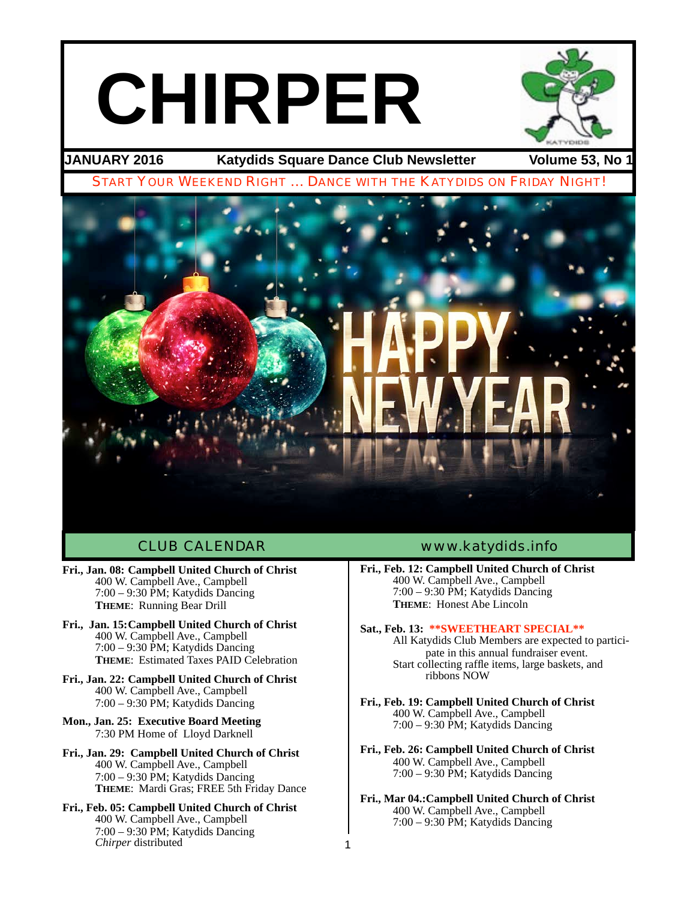# **CHIRPER**



**JANUARY 2016 Katydids Square Dance Club Newsletter Volume 53, No 1**



1

- **Fri., Jan. 08: Campbell United Church of Christ** 400 W. Campbell Ave., Campbell 7:00 – 9:30 PM; Katydids Dancing **THEME**: Running Bear Drill
- **Fri., Jan. 15:Campbell United Church of Christ** 400 W. Campbell Ave., Campbell 7:00 – 9:30 PM; Katydids Dancing **THEME**: Estimated Taxes PAID Celebration
- **Fri., Jan. 22: Campbell United Church of Christ** 400 W. Campbell Ave., Campbell 7:00 – 9:30 PM; Katydids Dancing
- **Mon., Jan. 25: Executive Board Meeting** 7:30 PM Home of Lloyd Darknell
- **Fri., Jan. 29: Campbell United Church of Christ** 400 W. Campbell Ave., Campbell 7:00 – 9:30 PM; Katydids Dancing **THEME**: Mardi Gras; FREE 5th Friday Dance
- **Fri., Feb. 05: Campbell United Church of Christ** 400 W. Campbell Ave., Campbell 7:00 – 9:30 PM; Katydids Dancing *Chirper* distributed

# CLUB CALENDAR [www.katydids.info](http://www.katydids.info)

- **Fri., Feb. 12: Campbell United Church of Christ** 400 W. Campbell Ave., Campbell 7:00 – 9:30 PM; Katydids Dancing **THEME**: Honest Abe Lincoln
- **Sat., Feb. 13: \*\*SWEETHEART SPECIAL\*\***

All Katydids Club Members are expected to partici- pate in this annual fundraiser event. Start collecting raffle items, large baskets, and ribbons NOW

- **Fri., Feb. 19: Campbell United Church of Christ** 400 W. Campbell Ave., Campbell 7:00 – 9:30 PM; Katydids Dancing
- **Fri., Feb. 26: Campbell United Church of Christ** 400 W. Campbell Ave., Campbell 7:00 – 9:30 PM; Katydids Dancing
- **Fri., Mar 04.:Campbell United Church of Christ** 400 W. Campbell Ave., Campbell 7:00 – 9:30 PM; Katydids Dancing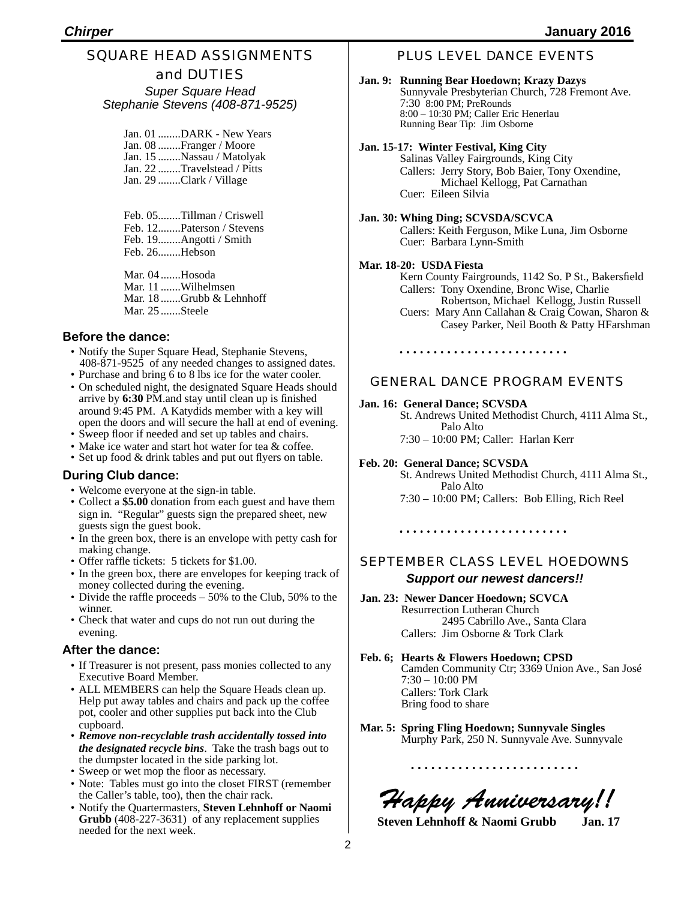# SQUARE HEAD ASSIGNMENTS and DUTIES

*Super Square Head Stephanie Stevens (408-871-9525)*

Jan. 01 ........DARK - New Years Jan. 08 ........Franger / Moore Jan. 15 ........Nassau / Matolyak Jan. 22 ........Travelstead / Pitts Jan. 29 ........Clark / Village

Feb. 05........Tillman / Criswell Feb. 12........Paterson / Stevens Feb. 19........Angotti / Smith Feb. 26........Hebson

Mar. 04 .......Hosoda Mar. 11 .......Wilhelmsen Mar. 18 .......Grubb & Lehnhoff Mar. 25 .......Steele

# **Before the dance:**

- Notify the Super Square Head, Stephanie Stevens, 408-871-9525 of any needed changes to assigned dates.
- Purchase and bring 6 to 8 lbs ice for the water cooler.
- On scheduled night, the designated Square Heads should arrive by **6:30** PM.and stay until clean up is finished around 9:45 PM. A Katydids member with a key will open the doors and will secure the hall at end of evening.
- Sweep floor if needed and set up tables and chairs.
- Make ice water and start hot water for tea & coffee. • Set up food & drink tables and put out flyers on table.

# **During Club dance:**

- Welcome everyone at the sign-in table.
- Collect a **\$5.00** donation from each guest and have them sign in. "Regular" guests sign the prepared sheet, new guests sign the guest book.
- In the green box, there is an envelope with petty cash for making change.
- Offer raffle tickets: 5 tickets for \$1.00.
- In the green box, there are envelopes for keeping track of money collected during the evening.
- Divide the raffle proceeds 50% to the Club, 50% to the winner.
- Check that water and cups do not run out during the evening.

## **After the dance:**

- If Treasurer is not present, pass monies collected to any Executive Board Member.
- ALL MEMBERS can help the Square Heads clean up. Help put away tables and chairs and pack up the coffee pot, cooler and other supplies put back into the Club cupboard.
- *Remove non-recyclable trash accidentally tossed into the designated recycle bins*. Take the trash bags out to the dumpster located in the side parking lot.
- Sweep or wet mop the floor as necessary.
- Note: Tables must go into the closet FIRST (remember the Caller's table, too), then the chair rack.
- Notify the Quartermasters, **Steven Lehnhoff or Naomi Grubb** (408-227-3631) of any replacement supplies needed for the next week.

# PLUS LEVEL DANCE EVENTS

### **Jan. 9: Running Bear Hoedown; Krazy Dazys** Sunnyvale Presbyterian Church, 728 Fremont Ave. 7:30 8:00 PM; PreRounds 8:00 – 10:30 PM; Caller Eric Henerlau Running Bear Tip: Jim Osborne

### **Jan. 15-17: Winter Festival, King City**

Salinas Valley Fairgrounds, King City Callers: Jerry Story, Bob Baier, Tony Oxendine, Michael Kellogg, Pat Carnathan Cuer: Eileen Silvia

# **Jan. 30: Whing Ding; SCVSDA/SCVCA**

Callers: Keith Ferguson, Mike Luna, Jim Osborne Cuer: Barbara Lynn-Smith

### **Mar. 18-20: USDA Fiesta**

Kern County Fairgrounds, 1142 So. P St., Bakersfield Callers: Tony Oxendine, Bronc Wise, Charlie Robertson, Michael Kellogg, Justin Russell Cuers: Mary Ann Callahan & Craig Cowan, Sharon & Casey Parker, Neil Booth & Patty HFarshman

# 

# GENERAL DANCE PROGRAM EVENTS

### **Jan. 16: General Dance; SCVSDA**

St. Andrews United Methodist Church, 4111 Alma St., Palo Alto

7:30 – 10:00 PM; Caller: Harlan Kerr

### **Feb. 20: General Dance; SCVSDA**

St. Andrews United Methodist Church, 4111 Alma St., Palo Alto 7:30 – 10:00 PM; Callers: Bob Elling, Rich Reel

# SEPTEMBER CLASS LEVEL HOEDOWNS

# *Support our newest dancers!!*

- **Jan. 23: Newer Dancer Hoedown; SCVCA** Resurrection Lutheran Church 2495 Cabrillo Ave., Santa Clara Callers: Jim Osborne & Tork Clark
- **Feb. 6; Hearts & Flowers Hoedown; CPSD** Camden Community Ctr; 3369 Union Ave., San José 7:30 – 10:00 PM Callers: Tork Clark Bring food to share
- **Mar. 5: Spring Fling Hoedown; Sunnyvale Singles** Murphy Park, 250 N. Sunnyvale Ave. Sunnyvale

**Happy Anniversary!!**<br>Steven Lehnhoff & Naomi Grubb Jan. 17

**Steven Lehnhoff & Naomi Grubb**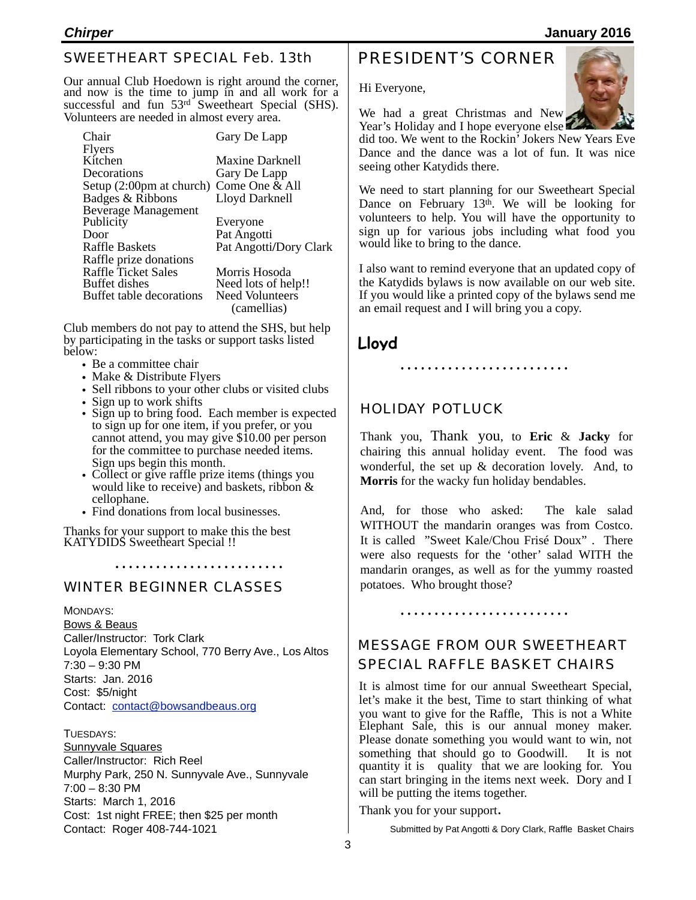# SWEETHEART SPECIAL Feb. 13th

Our annual Club Hoedown is right around the corner, and now is the time to jump in and all work for a successful and fun  $53<sup>rd</sup>$  Sweetheart Special (SHS). Volunteers are needed in almost every area.

| Chair                      | Gary De Lapp           |
|----------------------------|------------------------|
| <b>Flyers</b>              |                        |
| Kitchen                    | <b>Maxine Darknell</b> |
| Decorations                | Gary De Lapp           |
| Setup (2:00pm at church)   | Come One & All         |
| Badges & Ribbons           | Lloyd Darknell         |
| <b>Beverage Management</b> |                        |
| Publicity                  | Everyone               |
| Door                       | Pat Angotti            |
| <b>Raffle Baskets</b>      | Pat Angotti/Dory Clark |
| Raffle prize donations     |                        |
| <b>Raffle Ticket Sales</b> | Morris Hosoda          |
| Buffet dishes              | Need lots of help!!    |
| Buffet table decorations   | <b>Need Volunteers</b> |
|                            | (camellias)            |

 (camellias) Club members do not pay to attend the SHS, but help by participating in the tasks or support tasks listed below:

- Be a committee chair
- Make & Distribute Flyers
- Sell ribbons to your other clubs or visited clubs
- Sign up to work shifts
- Sign up to bring food. Each member is expected to sign up for one item, if you prefer, or you cannot attend, you may give \$10.00 per person for the committee to purchase needed items. Sign ups begin this month.
- Collect or give raffle prize items (things you would like to receive) and baskets, ribbon & cellophane.

• Find donations from local businesses.

Thanks for your support to make this the best KATYDIDS Sweetheart Special !!

WINTER BEGINNER CLASSES

MONDAYS:

Bows & Beaus Caller/Instructor: Tork Clark Loyola Elementary School, 770 Berry Ave., Los Altos 7:30 – 9:30 PM Starts: Jan. 2016 Cost: \$5/night Contact: [contact@bowsandbeaus.org](mailto:contact@bowsandbeaus.org)

TUESDAYS:

Sunnyvale Squares Caller/Instructor: Rich Reel Murphy Park, 250 N. Sunnyvale Ave., Sunnyvale 7:00 – 8:30 PM Starts: March 1, 2016 Cost: 1st night FREE; then \$25 per month Contact: Roger 408-744-1021

# PRESIDENT'S CORNER

Hi Everyone,

We had a great Christmas and New Year's Holiday and I hope everyone else

did too. We went to the Rockin' Jokers New Years Eve Dance and the dance was a lot of fun. It was nice seeing other Katydids there.

We need to start planning for our Sweetheart Special Dance on February 13th. We will be looking for volunteers to help. You will have the opportunity to sign up for various jobs including what food you would like to bring to the dance.

I also want to remind everyone that an updated copy of the Katydids bylaws is now available on our web site. If you would like a printed copy of the bylaws send me an email request and I will bring you a copy.

**Lloyd**

# HOLIDAY POTLUCK

Thank you, Thank you, to **Eric** & **Jacky** for chairing this annual holiday event. The food was wonderful, the set up & decoration lovely. And, to **Morris** for the wacky fun holiday bendables.

And, for those who asked: The kale salad WITHOUT the mandarin oranges was from Costco. It is called "Sweet Kale/Chou Frisé Doux" . There were also requests for the 'other' salad WITH the mandarin oranges, as well as for the yummy roasted potatoes. Who brought those?

## 

# MESSAGE FROM OUR SWEETHEART SPECIAL RAFFLE BASKET CHAIRS

It is almost time for our annual Sweetheart Special, let's make it the best, Time to start thinking of what you want to give for the Raffle, This is not a White Elephant Sale, this is our annual money maker. Please donate something you would want to win, not something that should go to Goodwill. It is not quantity it is quality that we are looking for. You can start bringing in the items next week. Dory and I will be putting the items together.

Thank you for your support.

Submitted by Pat Angotti & Dory Clark, Raffle Basket Chairs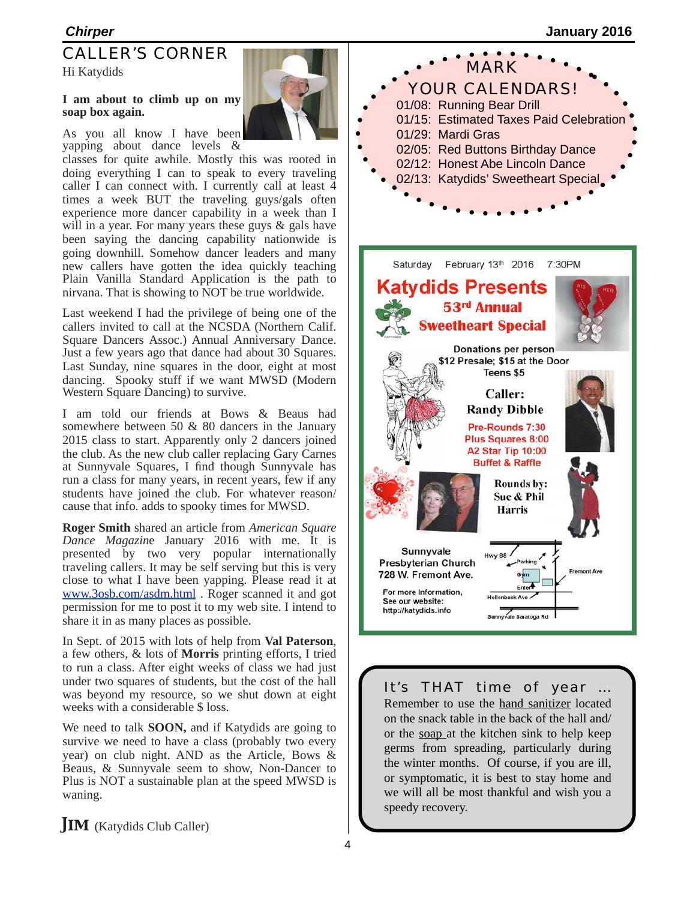# CALLER'S CORNER

Hi Katydids

# **I am about to climb up on my soap box again.**

As you all know I have been yapping about dance levels &

classes for quite awhile. Mostly this was rooted in doing everything I can to speak to every traveling caller I can connect with. I currently call at least 4 times a week BUT the traveling guys/gals often experience more dancer capability in a week than I will in a year. For many years these guys & gals have been saying the dancing capability nationwide is going downhill. Somehow dancer leaders and many new callers have gotten the idea quickly teaching Plain Vanilla Standard Application is the path to nirvana. That is showing to NOT be true worldwide.

Last weekend I had the privilege of being one of the callers invited to call at the NCSDA (Northern Calif. Square Dancers Assoc.) Annual Anniversary Dance. Just a few years ago that dance had about 30 Squares. Last Sunday, nine squares in the door, eight at most dancing. Spooky stuff if we want MWSD (Modern Western Square Dancing) to survive.

I am told our friends at Bows & Beaus had somewhere between 50 & 80 dancers in the January 2015 class to start. Apparently only 2 dancers joined the club. As the new club caller replacing Gary Carnes at Sunnyvale Squares, I find though Sunnyvale has run a class for many years, in recent years, few if any students have joined the club. For whatever reason/ cause that info. adds to spooky times for MWSD.

**Roger Smith** shared an article from *American Square Dance Magazin*e January 2016 with me. It is presented by two very popular internationally traveling callers. It may be self serving but this is very close to what I have been yapping. Please read it at [www.3osb.com/asdm.html](http://www.3osb.com/asdm.html) . Roger scanned it and got permission for me to post it to my web site. I intend to share it in as many places as possible.

In Sept. of 2015 with lots of help from **Val Paterson**, a few others, & lots of **Morris** printing efforts, I tried to run a class. After eight weeks of class we had just under two squares of students, but the cost of the hall was beyond my resource, so we shut down at eight weeks with a considerable \$ loss.

We need to talk **SOON,** and if Katydids are going to survive we need to have a class (probably two every year) on club night. AND as the Article, Bows & Beaus, & Sunnyvale seem to show, Non-Dancer to Plus is NOT a sustainable plan at the speed MWSD is waning.



MARK YOUR CALENDARS!



# It's THAT time of year …

Remember to use the hand sanitizer located on the snack table in the back of the hall and/ or the soap at the kitchen sink to help keep germs from spreading, particularly during the winter months. Of course, if you are ill, or symptomatic, it is best to stay home and we will all be most thankful and wish you a speedy recovery.

**JIM** (Katydids Club Caller)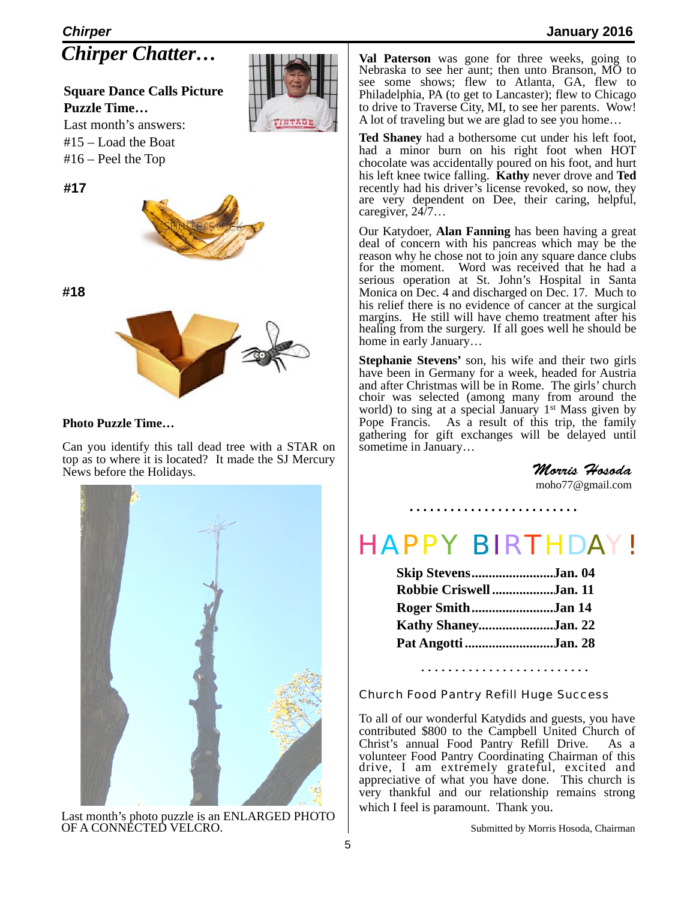# *Chirper* **January 2016** *Chirper Chatter…*

**Square Dance Calls Picture Puzzle Time…**

Last month's answers: #15 – Load the Boat #16 – Peel the Top

**#17**



**#18**



# **Photo Puzzle Time…**

Can you identify this tall dead tree with a STAR on top as to where it is located? It made the SJ Mercury News before the Holidays.



Last month's photo puzzle is an ENLARGED PHOTO OF A CONNECTED VELCRO.

**Val Paterson** was gone for three weeks, going to Nebraska to see her aunt; then unto Branson, MO to see some shows; flew to Atlanta, GA, flew to Philadelphia, PA (to get to Lancaster); flew to Chicago to drive to Traverse City, MI, to see her parents. Wow! A lot of traveling but we are glad to see you home…

**Ted Shaney** had a bothersome cut under his left foot, had a minor burn on his right foot when HOT chocolate was accidentally poured on his foot, and hurt his left knee twice falling. **Kathy** never drove and **Ted** recently had his driver's license revoked, so now, they are very dependent on Dee, their caring, helpful, caregiver, 24/7…

Our Katydoer, **Alan Fanning** has been having a great deal of concern with his pancreas which may be the reason why he chose not to join any square dance clubs for the moment. Word was received that he had a serious operation at St. John's Hospital in Santa Monica on Dec. 4 and discharged on Dec. 17. Much to his relief there is no evidence of cancer at the surgical margins. He still will have chemo treatment after his healing from the surgery. If all goes well he should be home in early January…

**Stephanie Stevens'** son, his wife and their two girls have been in Germany for a week, headed for Austria and after Christmas will be in Rome. The girls' church choir was selected (among many from around the world) to sing at a special January  $1<sup>st</sup>$  Mass given by Pope Francis. As a result of this trip, the family gathering for gift exchanges will be delayed until sometime in January…

> *Morris Hosoda* [moho77@gmail.com](mailto:moho77@gmail.com)

# HAPPY BIRTHDAY!

| Skip StevensJan. 04     |  |
|-------------------------|--|
| Robbie Criswell Jan. 11 |  |
| Roger SmithJan 14       |  |
| Kathy ShaneyJan. 22     |  |
| Pat Angotti Jan. 28     |  |

# Church Food Pantry Refill Huge Success

To all of our wonderful Katydids and guests, you have contributed \$800 to the Campbell United Church of Christ's annual Food Pantry Refill Drive. As a volunteer Food Pantry Coordinating Chairman of this drive, I am extremely grateful, excited and appreciative of what you have done. This church is very thankful and our relationship remains strong which I feel is paramount. Thank you.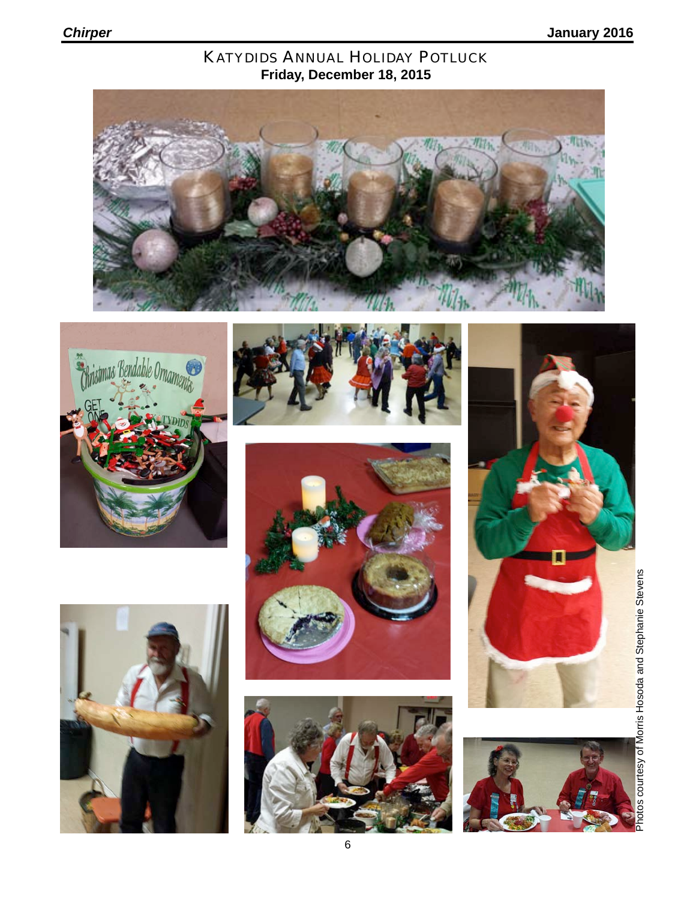# KATYDIDS ANNUAL HOLIDAY POTLUCK **Friday, December 18, 2015**















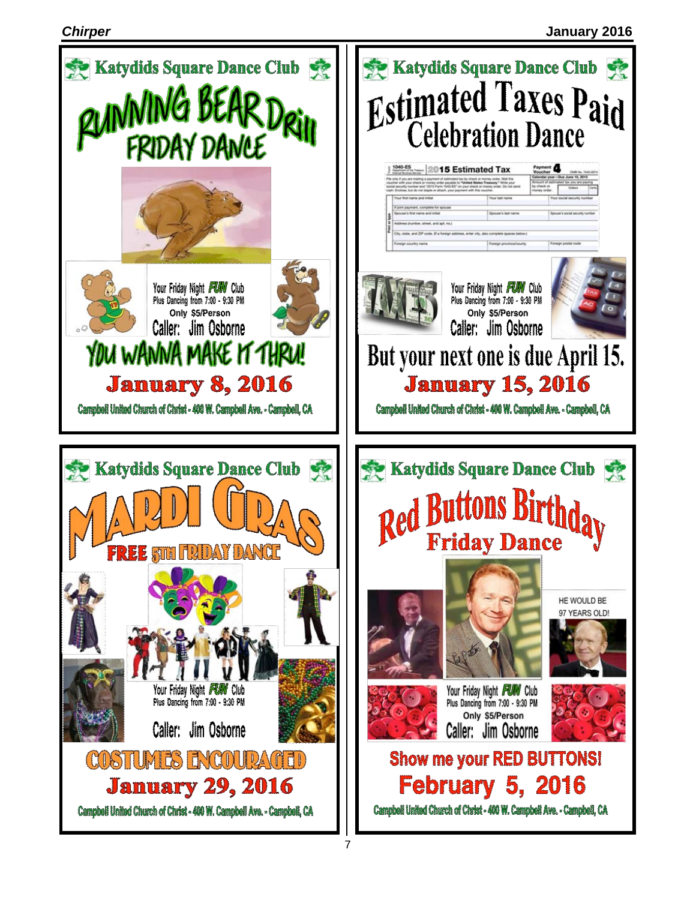